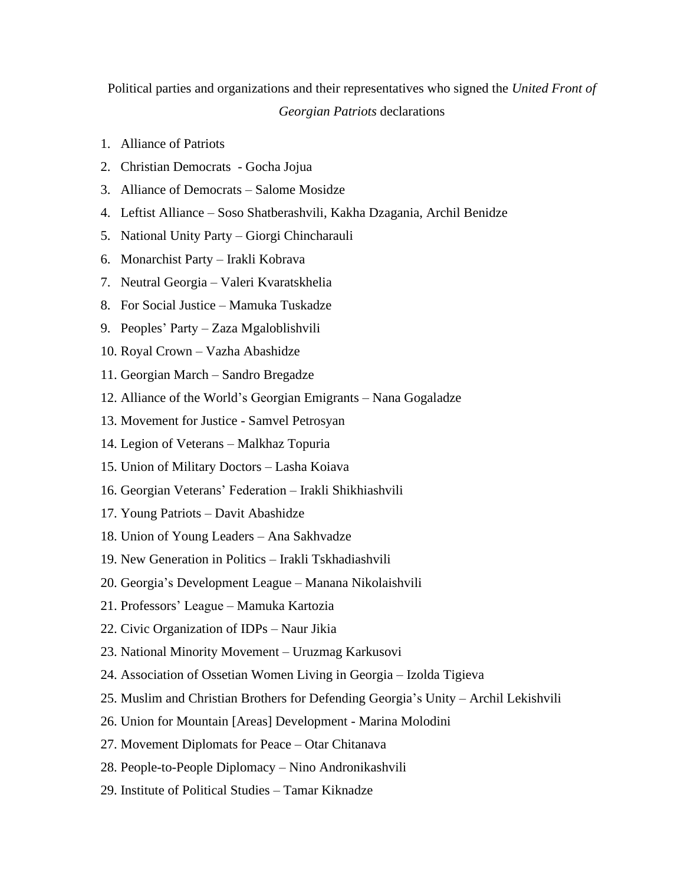## Political parties and organizations and their representatives who signed the *United Front of Georgian Patriots* declarations

- 1. Alliance of Patriots
- 2. Christian Democrats Gocha Jojua
- 3. Alliance of Democrats Salome Mosidze
- 4. Leftist Alliance Soso Shatberashvili, Kakha Dzagania, Archil Benidze
- 5. National Unity Party Giorgi Chincharauli
- 6. Monarchist Party Irakli Kobrava
- 7. Neutral Georgia Valeri Kvaratskhelia
- 8. For Social Justice Mamuka Tuskadze
- 9. Peoples' Party Zaza Mgaloblishvili
- 10. Royal Crown Vazha Abashidze
- 11. Georgian March Sandro Bregadze
- 12. Alliance of the World's Georgian Emigrants Nana Gogaladze
- 13. Movement for Justice Samvel Petrosyan
- 14. Legion of Veterans Malkhaz Topuria
- 15. Union of Military Doctors Lasha Koiava
- 16. Georgian Veterans' Federation Irakli Shikhiashvili
- 17. Young Patriots Davit Abashidze
- 18. Union of Young Leaders Ana Sakhvadze
- 19. New Generation in Politics Irakli Tskhadiashvili
- 20. Georgia's Development League Manana Nikolaishvili
- 21. Professors' League Mamuka Kartozia
- 22. Civic Organization of IDPs Naur Jikia
- 23. National Minority Movement Uruzmag Karkusovi
- 24. Association of Ossetian Women Living in Georgia Izolda Tigieva
- 25. Muslim and Christian Brothers for Defending Georgia's Unity Archil Lekishvili
- 26. Union for Mountain [Areas] Development Marina Molodini
- 27. Movement Diplomats for Peace Otar Chitanava
- 28. People-to-People Diplomacy Nino Andronikashvili
- 29. Institute of Political Studies Tamar Kiknadze